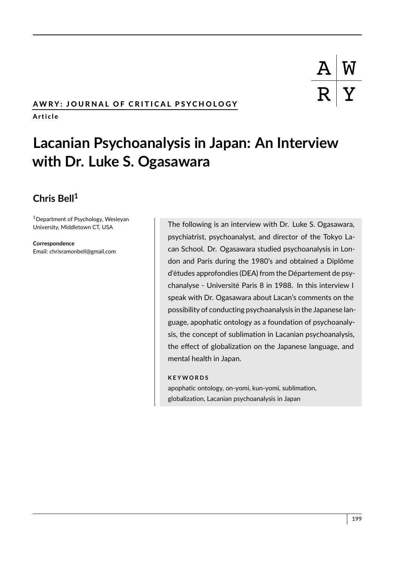# AWRY: JOURNAL OF CRITICAL PSYCHOLOGY

A r t i c l e

# **Lacanian Psychoanalysis in Japan: An Interview with Dr. Luke S. Ogasawara**

# **Chris Bell<sup>1</sup>**

<sup>1</sup>Department of Psychology, Wesleyan University, Middletown CT, USA

**Correspondence** Email: chrisramonbell@gmail.com

The following is an interview with Dr. Luke S. Ogasawara, psychiatrist, psychoanalyst, and director of the Tokyo Lacan School. Dr. Ogasawara studied psychoanalysis in London and Paris during the 1980's and obtained a Diplôme d'études approfondies (DEA) from the Département de psychanalyse - Université Paris 8 in 1988. In this interview I speak with Dr. Ogasawara about Lacan's comments on the possibility of conducting psychoanalysis in the Japanese language, apophatic ontology as a foundation of psychoanalysis, the concept of sublimation in Lacanian psychoanalysis, the effect of globalization on the Japanese language, and mental health in Japan.

#### **K E Y W O R D S**

apophatic ontology, on-yomi, kun-yomi, sublimation, globalization, Lacanian psychoanalysis in Japan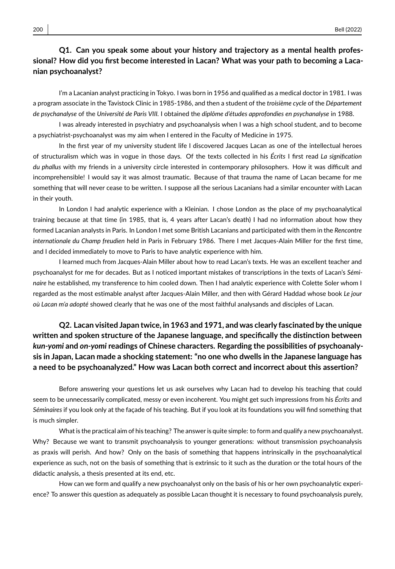# **Q1. Can you speak some about your history and trajectory as a mental health professional? How did you first become interested in Lacan? What was your path to becoming a Lacanian psychoanalyst?**

I'm a Lacanian analyst practicing in Tokyo. I was born in 1956 and qualified as a medical doctor in 1981. I was a program associate in the Tavistock Clinic in 1985-1986, and then a student of the *troisième cycle* of the *Département de psychanalyse* of the *Université de Paris VIII.* I obtained the *diplôme d'études approfondies en psychanalyse* in 1988.

I was already interested in psychiatry and psychoanalysis when I was a high school student, and to become a psychiatrist-psychoanalyst was my aim when I entered in the Faculty of Medicine in 1975.

In the first year of my university student life I discovered Jacques Lacan as one of the intellectual heroes of structuralism which was in vogue in those days. Of the texts collected in his *Écrits* I first read *La signification du phallus* with my friends in a university circle interested in contemporary philosophers. How it was difficult and incomprehensible! I would say it was almost traumatic. Because of that trauma the name of Lacan became for me something that will never cease to be written. I suppose all the serious Lacanians had a similar encounter with Lacan in their youth.

In London I had analytic experience with a Kleinian. I chose London as the place of my psychoanalytical training because at that time (in 1985, that is, 4 years after Lacan's death) I had no information about how they formed Lacanian analysts in Paris. In London I met some British Lacanians and participated with them in the *Rencontre internationale du Champ freudien* held in Paris in February 1986. There I met Jacques-Alain Miller for the first time, and I decided immediately to move to Paris to have analytic experience with him.

I learned much from Jacques-Alain Miller about how to read Lacan's texts. He was an excellent teacher and psychoanalyst for me for decades. But as I noticed important mistakes of transcriptions in the texts of Lacan's *Séminaire* he established, my transference to him cooled down. Then I had analytic experience with Colette Soler whom I regarded as the most estimable analyst after Jacques-Alain Miller, and then with Gérard Haddad whose book *Le jour où Lacan m'a adopté* showed clearly that he was one of the most faithful analysands and disciples of Lacan.

# **Q2. Lacan visited Japan twice, in 1963 and 1971, and was clearly fascinated by the unique written and spoken structure of the Japanese language, and specifically the distinction between** *kun-yomi* **and** *on-yomi* **readings of Chinese characters. Regarding the possibilities of psychoanalysis in Japan, Lacan made a shocking statement: "no one who dwells in the Japanese language has a need to be psychoanalyzed." How was Lacan both correct and incorrect about this assertion?**

Before answering your questions let us ask ourselves why Lacan had to develop his teaching that could seem to be unnecessarily complicated, messy or even incoherent. You might get such impressions from his *Écrits* and *Séminaires* if you look only at the façade of his teaching. But if you look at its foundations you will find something that is much simpler.

What is the practical aim of his teaching? The answer is quite simple: to form and qualify a new psychoanalyst. Why? Because we want to transmit psychoanalysis to younger generations: without transmission psychoanalysis as praxis will perish. And how? Only on the basis of something that happens intrinsically in the psychoanalytical experience as such, not on the basis of something that is extrinsic to it such as the duration or the total hours of the didactic analysis, a thesis presented at its end, etc.

How can we form and qualify a new psychoanalyst only on the basis of his or her own psychoanalytic experience? To answer this question as adequately as possible Lacan thought it is necessary to found psychoanalysis purely,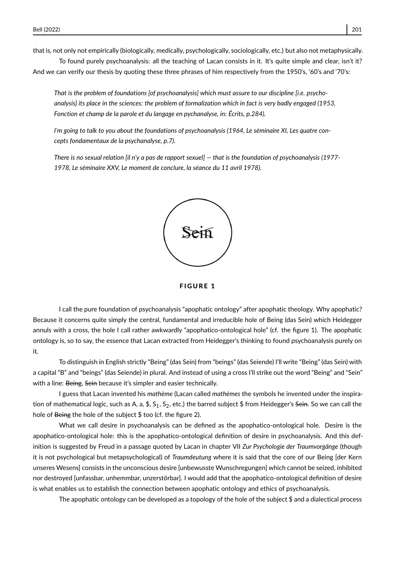that is, not only not empirically (biologically, medically, psychologically, sociologically, etc.) but also not metaphysically.

To found purely psychoanalysis: all the teaching of Lacan consists in it. It's quite simple and clear, isn't it? And we can verify our thesis by quoting these three phrases of him respectively from the 1950's, '60's and '70's:

*That is the problem of foundations [of psychoanalysis] which must assure to our discipline [i.e. psychoanalysis] its place in the sciences: the problem of formalization which in fact is very badly engaged (1953, Fonction et champ de la parole et du langage en pychanalyse, in: Écrits, p.284).*

*I'm going to talk to you about the foundations of psychoanalysis (1964, Le séminaire XI, Les quatre concepts fondamentaux de la psychanalyse, p.7).*

*There is no sexual relation [il n'y a pas de rapport sexuel] — that is the foundation of psychoanalysis (1977- 1978, Le séminaire XXV, Le moment de conclure, la séance du 11 avril 1978).*



**FIGURE 1** 

I call the pure foundation of psychoanalysis "apophatic ontology" after apophatic theology. Why apophatic? Because it concerns quite simply the central, fundamental and irreducible hole of Being (das Sein) which Heidegger annuls with a cross, the hole I call rather awkwardly "apophatico-ontological hole" (cf. the figure 1). The apophatic ontology is, so to say, the essence that Lacan extracted from Heidegger's thinking to found psychoanalysis purely on it.

To distinguish in English strictly "Being" (das Sein) from "beings" (das Seiende) I'll write "Being" (das Sein) with a capital "B" and "beings" (das Seiende) in plural. And instead of using a cross I'll strike out the word "Being" and "Sein" with a line: Being, Sein because it's simpler and easier technically.

I guess that Lacan invented his *mathème* (Lacan called *mathèmes* the symbols he invented under the inspiration of mathematical logic, such as A, a, \$,  $S_1$ ,  $S_2$ , etc.) the barred subject \$ from Heidegger's Sein. So we can call the hole of Being the hole of the subject \$ too (cf. the figure 2).

What we call desire in psychoanalysis can be defined as the apophatico-ontological hole. Desire is the apophatico-ontological hole: this is the apophatico-ontological definition of desire in psychoanalysis. And this definition is suggested by Freud in a passage quoted by Lacan in chapter VII *Zur Psychologie der Traumvorgänge* (though it is not psychological but metapsychological) of *Traumdeutung* where it is said that the core of our Being [der Kern unseres Wesens] consists in the unconscious desire [unbewusste Wunschregungen] which cannot be seized, inhibited nor destroyed [unfassbar, unhemmbar, unzerstörbar]. I would add that the apophatico-ontological definition of desire is what enables us to establish the connection between apophatic ontology and ethics of psychoanalysis.

The apophatic ontology can be developed as a topology of the hole of the subject  $$$  and a dialectical process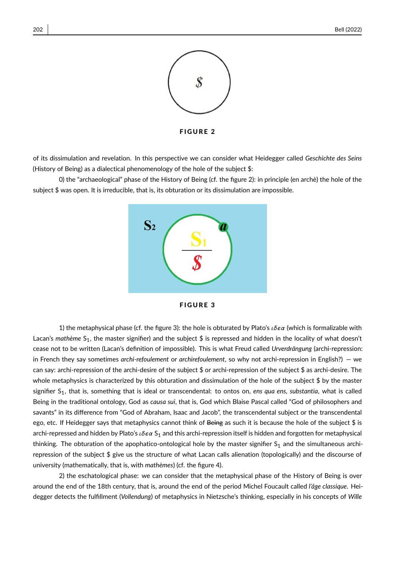

of its dissimulation and revelation. In this perspective we can consider what Heidegger called *Geschichte des Seins* (History of Being) as a dialectical phenomenology of the hole of the subject \$:

0) the "archaeological" phase of the History of Being (cf. the figure 2): in principle (en archè) the hole of the subject \$ was open. It is irreducible, that is, its obturation or its dissimulation are impossible.





1) the metaphysical phase (cf. the figure 3): the hole is obturated by Plato's  $\iota \delta \epsilon \alpha$  (which is formalizable with Lacan's *mathème* S<sub>1</sub>, the master signifier) and the subject \$ is repressed and hidden in the locality of what doesn't cease not to be written (Lacan's definition of impossible). This is what Freud called *Urverdrängung* (archi-repression: in French they say sometimes *archi-refoulement* or *archirefoulement*, so why not archi-repression in English?) — we can say: archi-repression of the archi-desire of the subject \$ or archi-repression of the subject \$ as archi-desire. The whole metaphysics is characterized by this obturation and dissimulation of the hole of the subject \$ by the master signifier S<sub>1</sub>, that is, something that is ideal or transcendental: to ontos on, ens qua ens, substantia, what is called Being in the traditional ontology, God as *causa sui*, that is, God which Blaise Pascal called "God of philosophers and savants" in its difference from "God of Abraham, Isaac and Jacob", the transcendental subject or the transcendental ego, etc. If Heidegger says that metaphysics cannot think of Being as such it is because the hole of the subject  $$$  is archi-repressed and hidden by Plato's ιδεα S<sub>1</sub> and this archi-repression itself is hidden and forgotten for metaphysical thinking. The obturation of the apophatico-ontological hole by the master signifier  $S_1$  and the simultaneous archirepression of the subject \$ give us the structure of what Lacan calls alienation (topologically) and the discourse of university (mathematically, that is, with *mathèmes*) (cf. the figure 4).

2) the eschatological phase: we can consider that the metaphysical phase of the History of Being is over around the end of the 18th century, that is, around the end of the period Michel Foucault called *l'âge classique*. Heidegger detects the fulfillment (*Vollendung*) of metaphysics in Nietzsche's thinking, especially in his concepts of *Wille*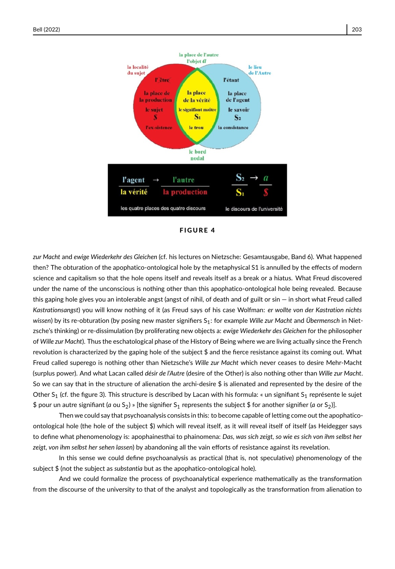

*zur Macht* and *ewige Wiederkehr des Gleichen* (cf. his lectures on Nietzsche: Gesamtausgabe, Band 6). What happened then? The obturation of the apophatico-ontological hole by the metaphysical S1 is annulled by the effects of modern science and capitalism so that the hole opens itself and reveals itself as a break or a hiatus. What Freud discovered under the name of the unconscious is nothing other than this apophatico-ontological hole being revealed. Because this gaping hole gives you an intolerable angst (angst of nihil, of death and of guilt or sin — in short what Freud called *Kastrationsangst*) you will know nothing of it (as Freud says of his case Wolfman: *er wollte von der Kastration nichts wissen*) by its re-obturation (by posing new master signifiers S<sub>1</sub>: for example *Wille zur Macht* and *Übermensch* in Nietzsche's thinking) or re-dissimulation (by proliferating new objects a: *ewige Wiederkehr des Gleichen* for the philosopher of *Wille zur Macht*). Thus the eschatological phase of the History of Being where we are living actually since the French revolution is characterized by the gaping hole of the subject \$ and the fierce resistance against its coming out. What Freud called superego is nothing other than Nietzsche's *Wille zur Macht* which never ceases to desire Mehr-Macht (surplus power). And what Lacan called *désir de l'Autre* (desire of the Other) is also nothing other than *Wille zur Macht*. So we can say that in the structure of alienation the archi-desire  $$$  is alienated and represented by the desire of the Other S<sub>1</sub> (cf. the figure 3). This structure is described by Lacan with his formula: « un signifiant S<sub>1</sub> représente le sujet \$ pour un autre signifiant (*a* ou S<sub>2</sub>) » [the signifier S<sub>1</sub> represents the subject \$ for another signifier (*a* or S<sub>2</sub>)].

Then we could say that psychoanalysis consists in this: to become capable of letting come out the apophaticoontological hole (the hole of the subject \$) which will reveal itself, as it will reveal itself of itself (as Heidegger says to define what phenomenology is: apophainesthai to phainomena: *Das, was sich zeigt, so wie es sich von ihm selbst her zeigt, von ihm selbst her sehen lassen*) by abandoning all the vain efforts of resistance against its revelation.

In this sense we could define psychoanalysis as practical (that is, not speculative) phenomenology of the subject \$ (not the subject as *substantia* but as the apophatico-ontological hole).

And we could formalize the process of psychoanalytical experience mathematically as the transformation from the discourse of the university to that of the analyst and topologically as the transformation from alienation to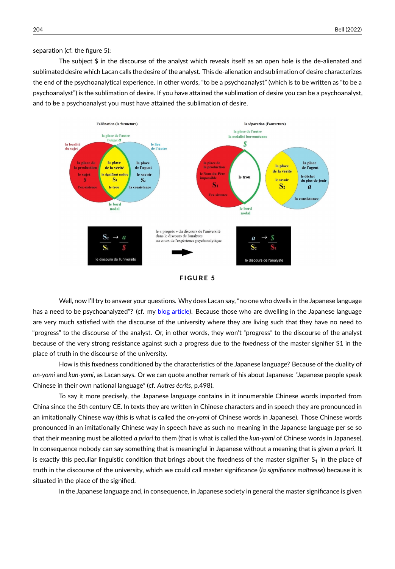separation (cf. the figure 5):

The subject \$ in the discourse of the analyst which reveals itself as an open hole is the de-alienated and sublimated desire which Lacan calls the desire of the analyst. This de-alienation and sublimation of desire characterizes the end of the psychoanalytical experience. In other words, "to be a psychoanalyst" (which is to be written as "to be a psychoanalyst") is the sublimation of desire. If you have attained the sublimation of desire you can be a psychoanalyst, and to be a psychoanalyst you must have attained the sublimation of desire.



Well, now I'll try to answer your questions. Why does Lacan say, "no one who dwells in the Japanese language has a need to be psychoanalyzed"? (cf. my [blog article\)](https://ogswrs.blogspot.com/2019/01/why-lacan-says-no-one-who-dwells-in.html). Because those who are dwelling in the Japanese language are very much satisfied with the discourse of the university where they are living such that they have no need to "progress" to the discourse of the analyst. Or, in other words, they won't "progress" to the discourse of the analyst because of the very strong resistance against such a progress due to the fixedness of the master signifier S1 in the place of truth in the discourse of the university.

How is this fixedness conditioned by the characteristics of the Japanese language? Because of the duality of *on-yomi* and *kun-yomi*, as Lacan says. Or we can quote another remark of his about Japanese: "Japanese people speak Chinese in their own national language" (cf. *Autres écrits*, p.498).

To say it more precisely, the Japanese language contains in it innumerable Chinese words imported from China since the 5th century CE. In texts they are written in Chinese characters and in speech they are pronounced in an imitationally Chinese way (this is what is called the *on-yomi* of Chinese words in Japanese). Those Chinese words pronounced in an imitationally Chinese way in speech have as such no meaning in the Japanese language per se so that their meaning must be allotted *a priori* to them (that is what is called the *kun-yomi* of Chinese words in Japanese). In consequence nobody can say something that is meaningful in Japanese without a meaning that is given *a priori*. It is exactly this peculiar linguistic condition that brings about the fixedness of the master signifier  $S_1$  in the place of truth in the discourse of the university, which we could call master significance (*la signifiance maîtresse*) because it is situated in the place of the signified.

In the Japanese language and, in consequence, in Japanese society in general the master significance is given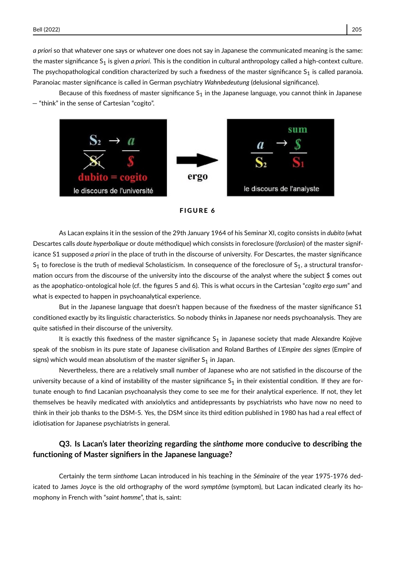*a priori* so that whatever one says or whatever one does not say in Japanese the communicated meaning is the same: the master significance S<sub>1</sub> is given *a priori*. This is the condition in cultural anthropology called a high-context culture. The psychopathological condition characterized by such a fixedness of the master significance  $S_1$  is called paranoia. Paranoiac master significance is called in German psychiatry *Wahnbedeutung* (delusional significance).

Because of this fixedness of master significance  $S_1$  in the Japanese language, you cannot think in Japanese — "think" in the sense of Cartesian "cogito".





As Lacan explains it in the session of the 29th January 1964 of his Seminar XI, cogito consists in *dubito* (what Descartes calls *doute hyperbolique* or doute méthodique) which consists in foreclosure (*forclusion*) of the master significance S1 supposed *a priori* in the place of truth in the discourse of university. For Descartes, the master significance  $S_1$  to foreclose is the truth of medieval Scholasticism. In consequence of the foreclosure of  $S_1$ , a structural transformation occurs from the discourse of the university into the discourse of the analyst where the subject \$ comes out as the apophatico-ontological hole (cf. the figures 5 and 6). This is what occurs in the Cartesian "*cogito ergo sum*" and what is expected to happen in psychoanalytical experience.

But in the Japanese language that doesn't happen because of the fixedness of the master significance S1 conditioned exactly by its linguistic characteristics. So nobody thinks in Japanese nor needs psychoanalysis. They are quite satisfied in their discourse of the university.

It is exactly this fixedness of the master significance  $S_1$  in Japanese society that made Alexandre Kojève speak of the snobism in its pure state of Japanese civilisation and Roland Barthes of *L'Empire des signes* (Empire of signs) which would mean absolutism of the master signifier  $S_1$  in Japan.

Nevertheless, there are a relatively small number of Japanese who are not satisfied in the discourse of the university because of a kind of instability of the master significance  $S_1$  in their existential condition. If they are fortunate enough to find Lacanian psychoanalysis they come to see me for their analytical experience. If not, they let themselves be heavily medicated with anxiolytics and antidepressants by psychiatrists who have now no need to think in their job thanks to the DSM-5. Yes, the DSM since its third edition published in 1980 has had a real effect of idiotisation for Japanese psychiatrists in general.

#### **Q3. Is Lacan's later theorizing regarding the** *sinthome* **more conducive to describing the functioning of Master signifiers in the Japanese language?**

Certainly the term *sinthome* Lacan introduced in his teaching in the *Séminaire* of the year 1975-1976 dedicated to James Joyce is the old orthography of the word *symptôme* (symptom), but Lacan indicated clearly its homophony in French with "*saint homme*", that is, saint: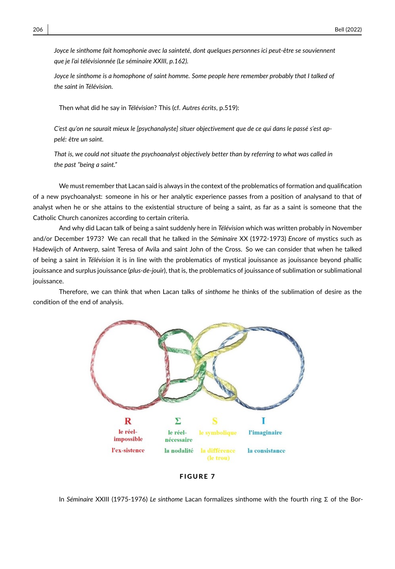*Joyce le sinthome fait homophonie avec la sainteté, dont quelques personnes ici peut-être se souviennent que je l'ai télévisionnée (Le séminaire XXIII, p.162).*

*Joyce le sinthome is a homophone of saint homme. Some people here remember probably that I talked of the saint in Télévision.*

Then what did he say in *Télévision*? This (cf. *Autres écrits*, p.519):

*C'est qu'on ne saurait mieux le [psychanalyste] situer objectivement que de ce qui dans le passé s'est appelé: être un saint.*

*That is, we could not situate the psychoanalyst objectively better than by referring to what was called in the past "being a saint."*

We must remember that Lacan said is always in the context of the problematics of formation and qualification of a new psychoanalyst: someone in his or her analytic experience passes from a position of analysand to that of analyst when he or she attains to the existential structure of being a saint, as far as a saint is someone that the Catholic Church canonizes according to certain criteria.

And why did Lacan talk of being a saint suddenly here in *Télévision* which was written probably in November and/or December 1973? We can recall that he talked in the *Séminaire* XX (1972-1973) *Encore* of mystics such as Hadewijch of Antwerp, saint Teresa of Avila and saint John of the Cross. So we can consider that when he talked of being a saint in *Télévision* it is in line with the problematics of mystical jouissance as jouissance beyond phallic jouissance and surplus jouissance (*plus-de-jouir*), that is, the problematics of jouissance of sublimation or sublimational jouissance.

Therefore, we can think that when Lacan talks of *sinthome* he thinks of the sublimation of desire as the condition of the end of analysis.





In *Séminaire* XXIII (1975-1976) *Le sinthome* Lacan formalizes sinthome with the fourth ring Σ of the Bor-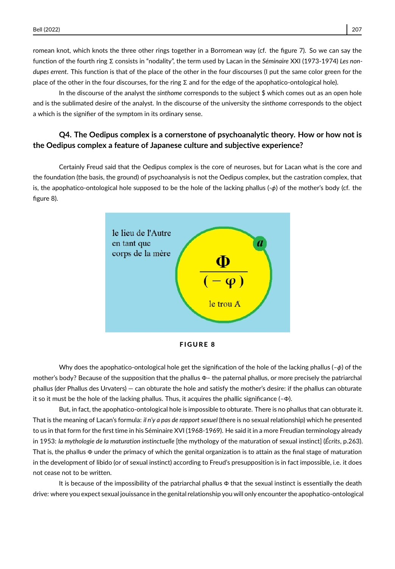romean knot, which knots the three other rings together in a Borromean way (cf. the figure 7). So we can say the function of the fourth ring Σ consists in "nodality", the term used by Lacan in the *Séminaire* XXI (1973-1974) *Les nondupes errent*. This function is that of the place of the other in the four discourses (I put the same color green for the place of the other in the four discourses, for the ring Σ and for the edge of the apophatico-ontological hole).

In the discourse of the analyst the *sinthome* corresponds to the subject \$ which comes out as an open hole and is the sublimated desire of the analyst. In the discourse of the university the *sinthome* corresponds to the object a which is the signifier of the symptom in its ordinary sense.

#### **Q4. The Oedipus complex is a cornerstone of psychoanalytic theory. How or how not is the Oedipus complex a feature of Japanese culture and subjective experience?**

Certainly Freud said that the Oedipus complex is the core of neuroses, but for Lacan what is the core and the foundation (the basis, the ground) of psychoanalysis is not the Oedipus complex, but the castration complex, that is, the apophatico-ontological hole supposed to be the hole of the lacking phallus  $(-\phi)$  of the mother's body (cf. the figure 8).





Why does the apophatico-ontological hole get the signification of the hole of the lacking phallus ( $-\phi$ ) of the mother's body? Because of the supposition that the phallus Φ– the paternal phallus, or more precisely the patriarchal phallus (der Phallus des Urvaters) — can obturate the hole and satisfy the mother's desire: if the phallus can obturate it so it must be the hole of the lacking phallus. Thus, it acquires the phallic significance (–Φ).

But, in fact, the apophatico-ontological hole is impossible to obturate. There is no phallus that can obturate it. That is the meaning of Lacan's formula: *il n'y a pas de rapport sexuel* (there is no sexual relationship) which he presented to us in that form for the first time in his Séminaire XVI (1968-1969). He said it in a more Freudian terminology already in 1953: *la mythologie de la maturation instinctuelle* [the mythology of the maturation of sexual instinct] (*Écrits*, p.263). That is, the phallus Φ under the primacy of which the genital organization is to attain as the final stage of maturation in the development of libido (or of sexual instinct) according to Freud's presupposition is in fact impossible, i.e. it does not cease not to be written.

It is because of the impossibility of the patriarchal phallus Φ that the sexual instinct is essentially the death drive: where you expect sexual jouissance in the genital relationship you will only encounter the apophatico-ontological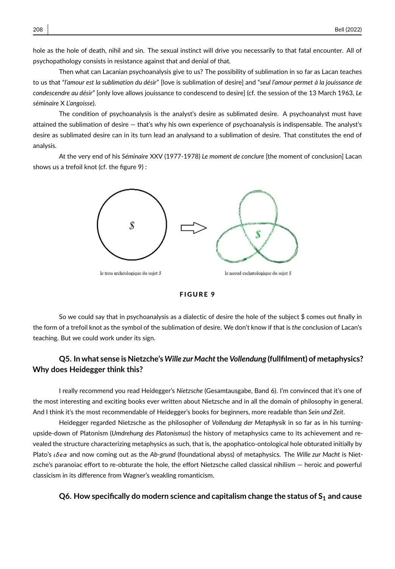hole as the hole of death, nihil and sin. The sexual instinct will drive you necessarily to that fatal encounter. All of psychopathology consists in resistance against that and denial of that.

Then what can Lacanian psychoanalysis give to us? The possibility of sublimation in so far as Lacan teaches to us that "*l'amour est la sublimation du désir*" [love is sublimation of desire] and "*seul l'amour permet à la jouissance de condescendre au désir*" [only love allows jouissance to condescend to desire] (cf. the session of the 13 March 1963, *Le séminaire* X *L'angoisse*).

The condition of psychoanalysis is the analyst's desire as sublimated desire. A psychoanalyst must have attained the sublimation of desire — that's why his own experience of psychoanalysis is indispensable. The analyst's desire as sublimated desire can in its turn lead an analysand to a sublimation of desire. That constitutes the end of analysis.

At the very end of his *Séminaire* XXV (1977-1978) *Le moment de conclure* [the moment of conclusion] Lacan shows us a trefoil knot (cf. the figure 9) :





So we could say that in psychoanalysis as a dialectic of desire the hole of the subject \$ comes out finally in the form of a trefoil knot as the symbol of the sublimation of desire. We don't know if that is *the* conclusion of Lacan's teaching. But we could work under its sign.

#### **Q5. In what sense is Nietzche's** *Wille zurMacht***the***Vollendung* **(fullfilment) of metaphysics? Why does Heidegger think this?**

I really recommend you read Heidegger's *Nietzsche* (Gesamtausgabe, Band 6). I'm convinced that it's one of the most interesting and exciting books ever written about Nietzsche and in all the domain of philosophy in general. And I think it's the most recommendable of Heidegger's books for beginners, more readable than *Sein und Zeit*.

Heidegger regarded Nietzsche as the philosopher of *Vollendung der Metaphysik* in so far as in his turningupside-down of Platonism (*Umdrehung des Platonismus*) the history of metaphysics came to its achievement and revealed the structure characterizing metaphysics as such, that is, the apophatico-ontological hole obturated initially by Plato's ιδϵα and now coming out as the *Ab-grund* (foundational abyss) of metaphysics. The *Wille zur Macht* is Nietzsche's paranoiac effort to re-obturate the hole, the effort Nietzsche called classical nihilism — heroic and powerful classicism in its difference from Wagner's weakling romanticism.

#### **Q6. How specifically do modern science and capitalism change the status of S<sup>1</sup> and cause**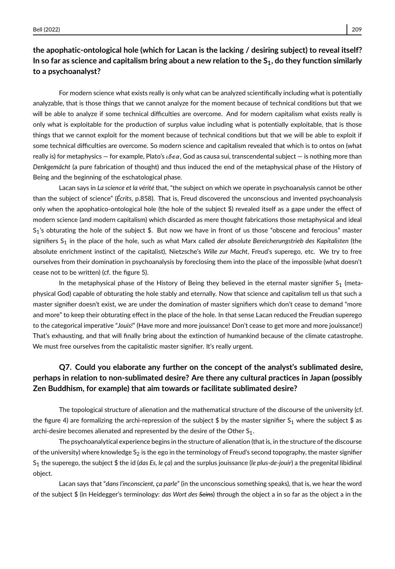# **the apophatic-ontological hole (which for Lacan is the lacking / desiring subject) to reveal itself? In so far as science and capitalism bring about a new relation to the S1, do they function similarly to a psychoanalyst?**

For modern science what exists really is only what can be analyzed scientifically including what is potentially analyzable, that is those things that we cannot analyze for the moment because of technical conditions but that we will be able to analyze if some technical difficulties are overcome. And for modern capitalism what exists really is only what is exploitable for the production of surplus value including what is potentially exploitable, that is those things that we cannot exploit for the moment because of technical conditions but that we will be able to exploit if some technical difficulties are overcome. So modern science and capitalism revealed that which is to ontos on (what really is) for metaphysics — for example, Plato's ιδεα, God as causa sui, transcendental subject — is nothing more than *Denkgemächt* (a pure fabrication of thought) and thus induced the end of the metaphysical phase of the History of Being and the beginning of the eschatological phase.

Lacan says in *La science et la vérité* that, "the subject on which we operate in psychoanalysis cannot be other than the subject of science" (*Écrits*, p.858). That is, Freud discovered the unconscious and invented psychoanalysis only when the apophatico-ontological hole (the hole of the subject \$) revealed itself as a gape under the effect of modern science (and modern capitalism) which discarded as mere thought fabrications those metaphysical and ideal  $S_1$ 's obturating the hole of the subject \$. But now we have in front of us those "obscene and ferocious" master signifiers S<sup>1</sup> in the place of the hole, such as what Marx called *der absolute Bereicherungstrieb des Kapitalisten* (the absolute enrichment instinct of the capitalist), Nietzsche's *Wille zur Macht*, Freud's superego, etc. We try to free ourselves from their domination in psychoanalysis by foreclosing them into the place of the impossible (what doesn't cease not to be written) (cf. the figure 5).

In the metaphysical phase of the History of Being they believed in the eternal master signifier  $S_1$  (metaphysical God) capable of obturating the hole stably and eternally. Now that science and capitalism tell us that such a master signifier doesn't exist, we are under the domination of master signifiers which don't cease to demand "more and more" to keep their obturating effect in the place of the hole. In that sense Lacan reduced the Freudian superego to the categorical imperative "*Jouis!*" (Have more and more jouissance! Don't cease to get more and more jouissance!) That's exhausting, and that will finally bring about the extinction of humankind because of the climate catastrophe. We must free ourselves from the capitalistic master signifier. It's really urgent.

### **Q7. Could you elaborate any further on the concept of the analyst's sublimated desire, perhaps in relation to non-sublimated desire? Are there any cultural practices in Japan (possibly Zen Buddhism, for example) that aim towards or facilitate sublimated desire?**

The topological structure of alienation and the mathematical structure of the discourse of the university (cf. the figure 4) are formalizing the archi-repression of the subject \$ by the master signifier  $S_1$  where the subject \$ as archi-desire becomes alienated and represented by the desire of the Other  $S_1$ .

The psychoanalytical experience begins in the structure of alienation (that is, in the structure of the discourse of the university) where knowledge  $S_2$  is the ego in the terminology of Freud's second topography, the master signifier S<sup>1</sup> the superego, the subject \$ the id (*das Es, le ça*) and the surplus jouissance (*le plus-de-jouir*) a the pregenital libidinal object.

Lacan says that "*dans l'inconscient, ça parle*" (in the unconscious something speaks), that is, we hear the word of the subject \$ (in Heidegger's terminology: *das Wort des Seins*) through the object a in so far as the object a in the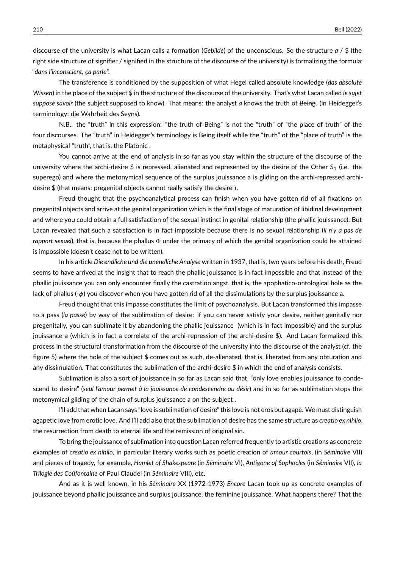discourse of the university is what Lacan calls a formation (*Gebilde*) of the unconscious. So the structure *a* / \$ (the right side structure of signifier / signified in the structure of the discourse of the university) is formalizing the formula: "*dans l'inconscient, ça parle*".

The transference is conditioned by the supposition of what Hegel called absolute knowledge (*das absolute Wissen*) in the place of the subject \$ in the structure of the discourse of the university. That's what Lacan called *le sujet supposé savoir* (the subject supposed to know). That means: the analyst *a* knows the truth of Being. (in Heidegger's terminology: die Wahrheit des Seyns).

N.B.: the "truth" in this expression: "the truth of Being" is not the "truth" of "the place of truth" of the four discourses. The "truth" in Heidegger's terminology is Being itself while the "truth" of the "place of truth" is the metaphysical "truth", that is, the Platonic .

You cannot arrive at the end of analysis in so far as you stay within the structure of the discourse of the university where the archi-desire  $\frac{1}{2}$  is repressed, alienated and represented by the desire of the Other S<sub>1</sub> (i.e. the superego) and where the metonymical sequence of the surplus jouissance a is gliding on the archi-repressed archidesire \$ (that means: pregenital objects cannot really satisfy the desire ).

Freud thought that the psychoanalytical process can finish when you have gotten rid of all fixations on pregenital objects and arrive at the genital organization which is the final stage of maturation of libidinal development and where you could obtain a full satisfaction of the sexual instinct in genital relationship (the phallic jouissance). But Lacan revealed that such a satisfaction is in fact impossible because there is no sexual relationship (*il n'y a pas de rapport sexuel*), that is, because the phallus Φ under the primacy of which the genital organization could be attained is impossible (doesn't cease not to be written).

In his article *Die endliche und die unendliche Analyse* written in 1937, that is, two years before his death, Freud seems to have arrived at the insight that to reach the phallic jouissance is in fact impossible and that instead of the phallic jouissance you can only encounter finally the castration angst, that is, the apophatico-ontological hole as the lack of phallus (-φ) you discover when you have gotten rid of all the dissimulations by the surplus jouissance a.

Freud thought that this impasse constitutes the limit of psychoanalysis. But Lacan transformed this impasse to a pass (*la passe*) by way of the sublimation of desire: if you can never satisfy your desire, neither genitally nor pregenitally, you can sublimate it by abandoning the phallic jouissance (which is in fact impossible) and the surplus jouissance a (which is in fact a correlate of the archi-repression of the archi-desire \$). And Lacan formalized this process in the structural transformation from the discourse of the university into the discourse of the analyst (cf. the figure 5) where the hole of the subject \$ comes out as such, de-alienated, that is, liberated from any obturation and any dissimulation. That constitutes the sublimation of the archi-desire \$ in which the end of analysis consists.

Sublimation is also a sort of jouissance in so far as Lacan said that, "only love enables jouissance to condescend to desire" (*seul l'amour permet à la jouissance de condescendre au désir*) and in so far as sublimation stops the metonymical gliding of the chain of surplus jouissance a on the subject .

I'll add that when Lacan says "love is sublimation of desire" this love is not eros but agapè. We must distinguish agapetic love from erotic love. And I'll add also that the sublimation of desire has the same structure as *creatio ex nihilo*, the resurrection from death to eternal life and the remission of original sin.

To bring the jouissance of sublimation into question Lacan referred frequently to artistic creations as concrete examples of *creatio ex nihilo*, in particular literary works such as poetic creation of *amour courtois*, (in *Séminaire* VII) and pieces of tragedy, for example, *Hamlet of Shakespeare* (in *Séminaire* VI), *Antigone of Sophocles* (in *Séminaire* VII), *la Trilogie des Coûfontaine* of Paul Claudel (in *Séminaire* VIII), etc.

And as it is well known, in his *Séminaire* XX (1972-1973) *Encore* Lacan took up as concrete examples of jouissance beyond phallic jouissance and surplus jouissance, the feminine jouissance. What happens there? That the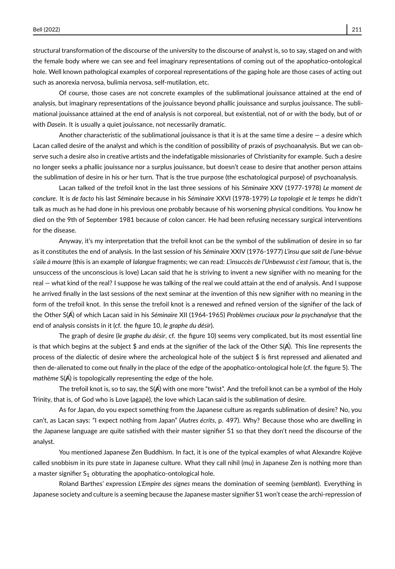structural transformation of the discourse of the university to the discourse of analyst is, so to say, staged on and with the female body where we can see and feel imaginary representations of coming out of the apophatico-ontological hole. Well known pathological examples of corporeal representations of the gaping hole are those cases of acting out such as anorexia nervosa, bulimia nervosa, self-mutilation, etc.

Of course, those cases are not concrete examples of the sublimational jouissance attained at the end of analysis, but imaginary representations of the jouissance beyond phallic jouissance and surplus jouissance. The sublimational jouissance attained at the end of analysis is not corporeal, but existential, not of or with the body, but of or with *Dasein*. It is usually a quiet jouissance, not necessarily dramatic.

Another characteristic of the sublimational jouissance is that it is at the same time a desire  $-$  a desire which Lacan called desire of the analyst and which is the condition of possibility of praxis of psychoanalysis. But we can observe such a desire also in creative artists and the indefatigable missionaries of Christianity for example. Such a desire no longer seeks a phallic jouissance nor a surplus jouissance, but doesn't cease to desire that another person attains the sublimation of desire in his or her turn. That is the true purpose (the eschatological purpose) of psychoanalysis.

Lacan talked of the trefoil knot in the last three sessions of his *Séminaire* XXV (1977-1978) *Le moment de conclure*. It is *de facto* his last *Séminaire* because in his *Séminaire* XXVI (1978-1979) *La topologie et le temps* he didn't talk as much as he had done in his previous one probably because of his worsening physical conditions. You know he died on the 9th of September 1981 because of colon cancer. He had been refusing necessary surgical interventions for the disease.

Anyway, it's my interpretation that the trefoil knot can be the symbol of the sublimation of desire in so far as it constitutes the end of analysis. In the last session of his *Séminaire* XXIV (1976-1977) *L'insu que sait de l'une-bévue s'aile à mourre* (this is an example of *lalangue* fragments; we can read: *L'insuccès de l'Unbewusst c'est l'amour,* that is, the unsuccess of the unconscious is love) Lacan said that he is striving to invent a new signifier with no meaning for the real — what kind of the real? I suppose he was talking of the real we could attain at the end of analysis. And I suppose he arrived finally in the last sessions of the next seminar at the invention of this new signifier with no meaning in the form of the trefoil knot. In this sense the trefoil knot is a renewed and refined version of the signifier of the lack of the Other S(A) of which Lacan said in his Séminaire XII (1964-1965) Problèmes cruciaux pour la psychanalyse that the end of analysis consists in it (cf. the figure 10, *le graphe du désir*).

The graph of desire (*le graphe du désir*, cf. the figure 10) seems very complicated, but its most essential line is that which begins at the subject \$ and ends at the signifier of the lack of the Other  $S(A)$ . This line represents the process of the dialectic of desire where the archeological hole of the subject \$ is first repressed and alienated and then de-alienated to come out finally in the place of the edge of the apophatico-ontological hole (cf. the figure 5). The *mathème* S( $\AA$ ) is topologically representing the edge of the hole.

The trefoil knot is, so to say, the  $S(A)$  with one more "twist". And the trefoil knot can be a symbol of the Holy Trinity, that is, of God who is Love (agapè), the love which Lacan said is the sublimation of desire.

As for Japan, do you expect something from the Japanese culture as regards sublimation of desire? No, you can't, as Lacan says: "I expect nothing from Japan" (*Autres écrits*, p. 497). Why? Because those who are dwelling in the Japanese language are quite satisfied with their master signifier S1 so that they don't need the discourse of the analyst.

You mentioned Japanese Zen Buddhism. In fact, it is one of the typical examples of what Alexandre Kojève called snobbism in its pure state in Japanese culture. What they call nihil (mu) in Japanese Zen is nothing more than a master signifier  $S_1$  obturating the apophatico-ontological hole.

Roland Barthes' expression *L'Empire des signes* means the domination of seeming (*semblant*). Everything in Japanese society and culture is a seeming because the Japanese master signifier S1 won't cease the archi-repression of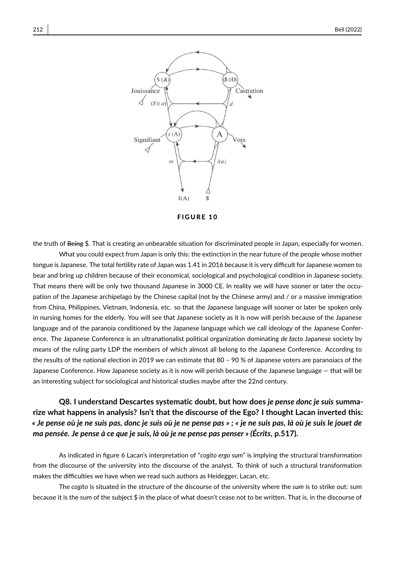

**FIGURE 10** 

the truth of Being \$. That is creating an unbearable situation for discriminated people in Japan, especially for women.

What you could expect from Japan is only this: the extinction in the near future of the people whose mother tongue is Japanese. The total fertility rate of Japan was 1.41 in 2016 because it is very difficult for Japanese women to bear and bring up children because of their economical, sociological and psychological condition in Japanese society. That means there will be only two thousand Japanese in 3000 CE. In reality we will have sooner or later the occupation of the Japanese archipelago by the Chinese capital (not by the Chinese army) and / or a massive immigration from China, Philippines, Vietnam, Indonesia, etc. so that the Japanese language will sooner or later be spoken only in nursing homes for the elderly. You will see that Japanese society as it is now will perish because of the Japanese language and of the paranoia conditioned by the Japanese language which we call ideology of the Japanese Conference. The Japanese Conference is an ultranationalist political organization dominating *de facto* Japanese society by means of the ruling party LDP the members of which almost all belong to the Japanese Conference. According to the results of the national election in 2019 we can estimate that 80 – 90 % of Japanese voters are paranoiacs of the Japanese Conference. How Japanese society as it is now will perish because of the Japanese language — that will be an interesting subject for sociological and historical studies maybe after the 22nd century.

# **Q8. I understand Descartes systematic doubt, but how does** *je pense donc je suis* **summarize what happens in analysis? Isn't that the discourse of the Ego? I thought Lacan inverted this:** *« Je pense où je ne suis pas, donc je suis où je ne pense pas » ; « je ne suis pas, là où je suis le jouet de ma pensée. Je pense à ce que je suis, là où je ne pense pas penser » (Écrits***, p.517).**

As indicated in figure 6 Lacan's interpretation of "*cogito ergo sum*" is implying the structural transformation from the discourse of the university into the discourse of the analyst. To think of such a structural transformation makes the difficulties we have when we read such authors as Heidegger, Lacan, etc.

The *cogito* is situated in the structure of the discourse of the university where the *sum* is to strike out: sum because it is the sum of the subject \$ in the place of what doesn't cease not to be written. That is, in the discourse of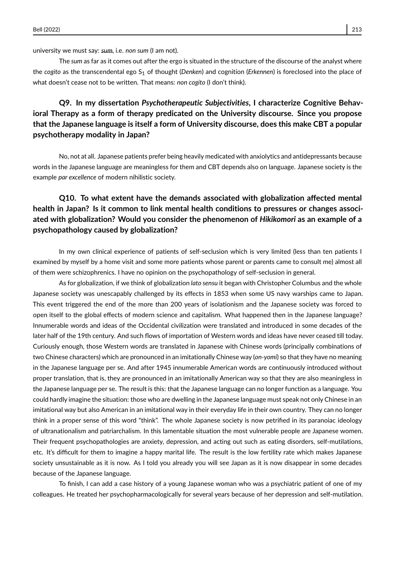university we must say: *sum*, i.e. *non sum* (I am not).

The *sum* as far as it comes out after the ergo is situated in the structure of the discourse of the analyst where the *cogito* as the transcendental ego S<sub>1</sub> of thought (*Denken*) and cognition (*Erkennen*) is foreclosed into the place of what doesn't cease not to be written. That means: *non cogito* (I don't think).

# **Q9. In my dissertation** *Psychotherapeutic Subjectivities***, I characterize Cognitive Behavioral Therapy as a form of therapy predicated on the University discourse. Since you propose that the Japanese language is itself a form of University discourse, does this make CBT a popular psychotherapy modality in Japan?**

No, not at all. Japanese patients prefer being heavily medicated with anxiolytics and antidepressants because words in the Japanese language are meaningless for them and CBT depends also on language. Japanese society is the example *par excellence* of modern nihilistic society.

# **Q10. To what extent have the demands associated with globalization affected mental health in Japan? Is it common to link mental health conditions to pressures or changes associated with globalization? Would you consider the phenomenon of** *Hikikomori* **as an example of a psychopathology caused by globalization?**

In my own clinical experience of patients of self-seclusion which is very limited (less than ten patients I examined by myself by a home visit and some more patients whose parent or parents came to consult me) almost all of them were schizophrenics. I have no opinion on the psychopathology of self-seclusion in general.

As for globalization, if we think of globalization *lato sensu* it began with Christopher Columbus and the whole Japanese society was unescapably challenged by its effects in 1853 when some US navy warships came to Japan. This event triggered the end of the more than 200 years of isolationism and the Japanese society was forced to open itself to the global effects of modern science and capitalism. What happened then in the Japanese language? Innumerable words and ideas of the Occidental civilization were translated and introduced in some decades of the later half of the 19th century. And such flows of importation of Western words and ideas have never ceased till today. Curiously enough, those Western words are translated in Japanese with Chinese words (principally combinations of two Chinese characters) which are pronounced in an imitationally Chinese way (*on-yomi*) so that they have no meaning in the Japanese language per se. And after 1945 innumerable American words are continuously introduced without proper translation, that is, they are pronounced in an imitationally American way so that they are also meaningless in the Japanese language per se. The result is this: that the Japanese language can no longer function as a language. You could hardly imagine the situation: those who are dwelling in the Japanese language must speak not only Chinese in an imitational way but also American in an imitational way in their everyday life in their own country. They can no longer think in a proper sense of this word "think". The whole Japanese society is now petrified in its paranoiac ideology of ultranationalism and patriarchalism. In this lamentable situation the most vulnerable people are Japanese women. Their frequent psychopathologies are anxiety, depression, and acting out such as eating disorders, self-mutilations, etc. It's difficult for them to imagine a happy marital life. The result is the low fertility rate which makes Japanese society unsustainable as it is now. As I told you already you will see Japan as it is now disappear in some decades because of the Japanese language.

To finish, I can add a case history of a young Japanese woman who was a psychiatric patient of one of my colleagues. He treated her psychopharmacologically for several years because of her depression and self-mutilation.